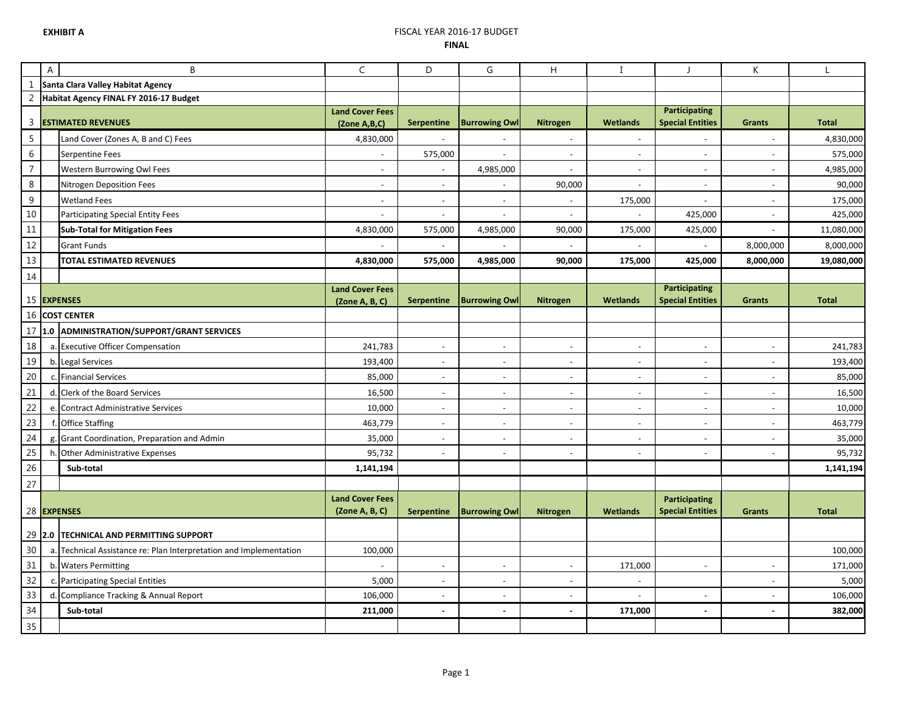## **EXHIBIT A** FISCAL YEAR 2016-17 BUDGET **FINAL**

|                  | A                                 | B                                                                  | $\mathsf{C}$              | D                        | G                        | Η        | $\mathbf I$              |                                                 | K                        |              |
|------------------|-----------------------------------|--------------------------------------------------------------------|---------------------------|--------------------------|--------------------------|----------|--------------------------|-------------------------------------------------|--------------------------|--------------|
| $\mathbf{1}$     | Santa Clara Valley Habitat Agency |                                                                    |                           |                          |                          |          |                          |                                                 |                          |              |
| $\sqrt{2}$       |                                   | Habitat Agency FINAL FY 2016-17 Budget                             |                           |                          |                          |          |                          |                                                 |                          |              |
| 3                |                                   | <b>ESTIMATED REVENUES</b>                                          | <b>Land Cover Fees</b>    | Serpentine               | <b>Burrowing Ow</b>      | Nitrogen | <b>Wetlands</b>          | <b>Participating</b><br><b>Special Entities</b> | <b>Grants</b>            | <b>Total</b> |
| $\overline{5}$   |                                   | Land Cover (Zones A, B and C) Fees                                 | (Zone A,B,C)<br>4,830,000 |                          |                          |          | $\overline{\phantom{a}}$ | $\overline{a}$                                  | $\overline{\phantom{a}}$ | 4,830,000    |
| $\,$ 6 $\,$      |                                   | Serpentine Fees                                                    |                           | 575,000                  | $\overline{\phantom{a}}$ |          | $\overline{\phantom{a}}$ | $\bar{a}$                                       | $\overline{\phantom{a}}$ | 575,000      |
| $\overline{7}$   |                                   | Western Burrowing Owl Fees                                         | $\overline{\phantom{a}}$  | $\sim$                   | 4,985,000                |          | $\sim$                   | $\blacksquare$                                  | $\overline{\phantom{a}}$ | 4,985,000    |
| $\,8\,$          |                                   | Nitrogen Deposition Fees                                           | $\blacksquare$            | $\sim$                   |                          | 90,000   | $\blacksquare$           | $\overline{a}$                                  |                          | 90,000       |
| $\boldsymbol{9}$ |                                   | <b>Wetland Fees</b>                                                | $\overline{\phantom{a}}$  | $\sim$                   | ÷,                       | $\sim$   | 175,000                  | ÷,                                              | ÷,                       | 175,000      |
| 10               |                                   | Participating Special Entity Fees                                  | ÷,                        | $\sim$                   | $\overline{\phantom{a}}$ | $\sim$   |                          | 425,000                                         | $\overline{\phantom{a}}$ | 425,000      |
| $11\,$           |                                   | <b>Sub-Total for Mitigation Fees</b>                               | 4,830,000                 | 575,000                  | 4,985,000                | 90,000   | 175,000                  | 425,000                                         |                          | 11,080,000   |
| $12$             |                                   | <b>Grant Funds</b>                                                 |                           |                          |                          |          |                          |                                                 | 8,000,000                | 8,000,000    |
| $13\,$           |                                   | TOTAL ESTIMATED REVENUES                                           | 4,830,000                 | 575,000                  | 4,985,000                | 90,000   | 175,000                  | 425,000                                         | 8,000,000                | 19,080,000   |
| 14               |                                   |                                                                    |                           |                          |                          |          |                          |                                                 |                          |              |
|                  |                                   |                                                                    | <b>Land Cover Fees</b>    |                          |                          |          |                          | <b>Participating</b>                            |                          |              |
|                  |                                   | 15 EXPENSES                                                        | (Zone A, B, C)            | Serpentine               | <b>Burrowing Owl</b>     | Nitrogen | <b>Wetlands</b>          | <b>Special Entities</b>                         | Grants                   | <b>Total</b> |
|                  |                                   | 16 COST CENTER                                                     |                           |                          |                          |          |                          |                                                 |                          |              |
| 17               |                                   | 1.0 ADMINISTRATION/SUPPORT/GRANT SERVICES                          |                           |                          |                          |          |                          |                                                 |                          |              |
| 18               |                                   | a. Executive Officer Compensation                                  | 241,783                   | $\blacksquare$           | $\blacksquare$           |          | $\blacksquare$           | $\blacksquare$                                  | $\blacksquare$           | 241,783      |
| 19               |                                   | b. Legal Services                                                  | 193,400                   | $\sim$                   | $\overline{a}$           |          | $\blacksquare$           | $\overline{a}$                                  | $\overline{\phantom{a}}$ | 193,400      |
| 20               |                                   | c. Financial Services                                              | 85,000                    | $\overline{\phantom{a}}$ | $\overline{\phantom{a}}$ |          | $\overline{\phantom{a}}$ | $\blacksquare$                                  | $\overline{\phantom{a}}$ | 85,000       |
| 21               |                                   | d. Clerk of the Board Services                                     | 16,500                    | $\sim$                   | $\overline{a}$           |          | $\overline{\phantom{a}}$ | $\overline{a}$                                  | $\overline{\phantom{a}}$ | 16,500       |
| 22               |                                   | e. Contract Administrative Services                                | 10,000                    | $\sim$                   | $\overline{a}$           |          | $\overline{\phantom{a}}$ | $\overline{a}$                                  | $\overline{\phantom{a}}$ | 10,000       |
| 23               |                                   | f. Office Staffing                                                 | 463,779                   | $\sim$                   | ÷,                       | $\sim$   | $\blacksquare$           | $\sim$                                          | $\overline{\phantom{a}}$ | 463,779      |
| 24               |                                   | g. Grant Coordination, Preparation and Admin                       | 35,000                    | $\sim$                   | $\overline{a}$           |          | $\blacksquare$           | $\overline{a}$                                  | ÷,                       | 35,000       |
| 25               |                                   | h. Other Administrative Expenses                                   | 95,732                    |                          | $\overline{\phantom{a}}$ |          | $\blacksquare$           | $\sim$                                          | L.                       | 95,732       |
| 26               |                                   | Sub-total                                                          | 1,141,194                 |                          |                          |          |                          |                                                 |                          | 1,141,194    |
| 27               |                                   |                                                                    |                           |                          |                          |          |                          |                                                 |                          |              |
|                  |                                   |                                                                    | <b>Land Cover Fees</b>    |                          |                          |          |                          | Participating                                   |                          |              |
|                  |                                   | 28 EXPENSES                                                        | (2one A, B, C)            | Serpentine               | <b>Burrowing Owl</b>     | Nitrogen | <b>Wetlands</b>          | <b>Special Entities</b>                         | <b>Grants</b>            | <b>Total</b> |
|                  |                                   | 29 2.0 TECHNICAL AND PERMITTING SUPPORT                            |                           |                          |                          |          |                          |                                                 |                          |              |
| 30               |                                   | a. Technical Assistance re: Plan Interpretation and Implementation | 100,000                   |                          |                          |          |                          |                                                 |                          | 100,000      |
| 31               |                                   | b. Waters Permitting                                               |                           |                          |                          |          | 171,000                  | $\blacksquare$                                  | $\overline{\phantom{a}}$ | 171,000      |
| 32               |                                   | c. Participating Special Entities                                  | 5,000                     | $\sim$                   | ÷,                       | $\sim$   | $\blacksquare$           |                                                 | $\overline{\phantom{a}}$ | 5,000        |
| 33               |                                   | d. Compliance Tracking & Annual Report                             | 106,000                   | $\sim$                   | $\overline{\phantom{a}}$ |          | $\blacksquare$           | L,                                              | $\bar{\phantom{a}}$      | 106,000      |
| 34               |                                   | Sub-total                                                          | 211,000                   | $\sim$                   | $\mathbf{r}$             |          | 171,000                  | $\overline{a}$                                  | $\sim$                   | 382,000      |
| 35               |                                   |                                                                    |                           |                          |                          |          |                          |                                                 |                          |              |